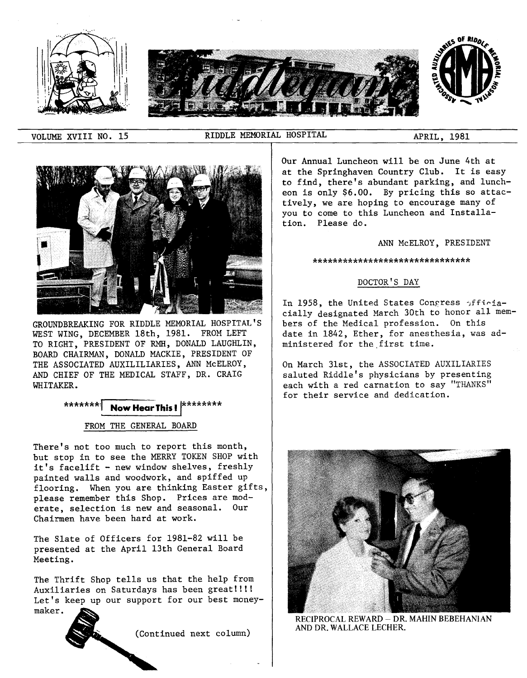

VOLUME XVIII NO. 15 RIDDLE MEMORIAL HOSPITAL APRIL, 1981



GROUNDBREAKING FOR RIDDLE MEMORIAL HOSPITAL'S WEST WING, DECEMBER 18th, 1981. FROM LEFT TO RIGHT, PRESIDENT OF RMH, DONALD LAUGHLIN, BOARD CHAIRMAN, DONALD MACKIE, PRESIDENT OF THE ASSOCIATED AUXILILIARIES, ANN McELROY, AND CHIEF OF THE MEDICAL STAFF, DR. CRAIG WHITAKER.

# \*\*\*\*\*\*\*\*<sup>:</sup> **Now Hear This ! XXXXXXXXX**

## FROM THE GENERAL BOARD

There's not too much to report this month, but stop in to see the MERRY TOKEN SHOP with it's facelift - new window shelves, freshly painted walls and woodwork, and spiffed up flooring. When you are thinking Easter gifts, please remember this Shop. Prices are moderate, selection is new and seasonal. Our Chairmen have been hard at work.

The Slate of Officers for 1981-82 will be presented at the April 13th General Board Meeting.

The Thrift Shop tells us that the help from Auxiliaries on Saturdays has been great!!!! Let's keep up our support for our best moneymaker.

(Continued next column)



## ANN McELROY, PRESIDENT

#### \*\*\*\*\*\*\*\*\*\*\*\*\*\*\*\*\*\*\*\*\*\*\*\*\*\*\*\*\*\*\*

## DOCTOR'S DAY

In 1958, the United States Congress afficiacially designated March 30th to honor all members of the Medical profession. On this date in 1842, Ether, for anesthesia, was administered for the first time.

On March 31st, the ASSOCIATED AUXILIARIES saluted Riddle's physicians by presenting each with a red carnation to say "THANKS" for their service and dedication.



RECIPROCAL REWARD- DR. MAHIN BEBEHANIAN AND DR. WALLACE LECHER.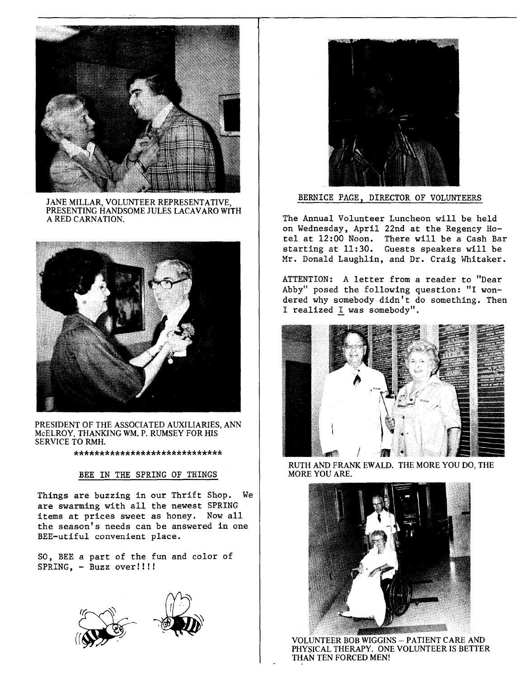

JANE MILLAR, VOLUNTEER REPRESENTATIVE, PRESENTING HANDSOME JULES LACAVARO WITH A RED CARNATION.



PRESIDENT OF THE ASSOCIATED AUXILIARIES, ANN McELROY, THANKING WM. P. RUMSEY FOR HIS SERVICE TO RMH.

\*\*\*\*\*\*\*\*\*\*\*\*\*\*\*\*\*\*\*\*\*\*\*\*\*\*\*\*\*

## BEE IN THE SPRING OF THINGS

Things are buzzing in our Thrift Shop. We are swarming with all the newest SPRING items at prices sweet as honey. Now all the season's needs can be answered in one BEE-utiful convenient place.

SO, BEE a part of the fun and color of SPRING, - Buzz over!!!!





BERNICE PAGE, DIRECTOR OF VOLUNTEERS

The Annual Volunteer Luncheon will be held on Wednesday, April 22nd at the Regency Hotel at 12:00 Noon. There will be a Cash Bar starting at 11:30. Guests speakers will be Mr. Donald Laughlin, and Dr. Craig Whitaker.

ATTENTION: A letter from a reader to "Dear Abby" posed the following question: "I wondered why somebody didn't do something. Then I realized I was somebody".



RUTH AND FRANK EWALD. THE MORE YOU DO, THE MORE YOU ARE.



VOLUNTEER BOB WIGGINS- PATIENT CARE AND PHYSICAL THERAPY. ONE VOLUNTEER IS BETTER THAN TEN FORCED MEN!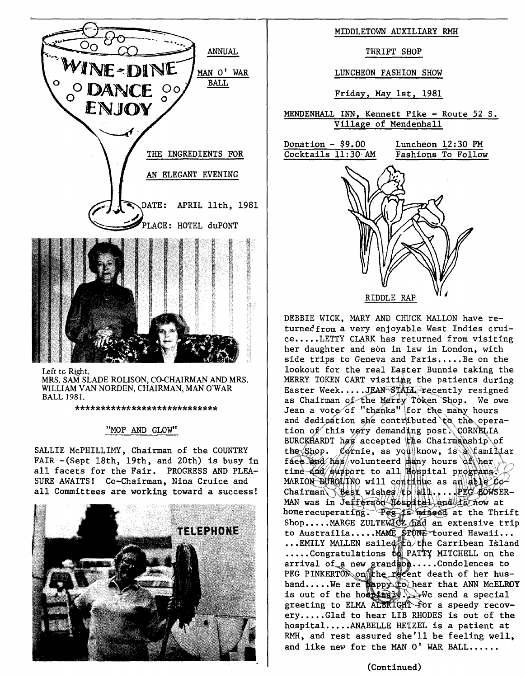

Left tc Right. MRS. SAM SLADE ROLISON, CO-CHAIRMAN AND MRS. WILLIAM VAN NORDEN, CHAIRMAN, MAN O'WAR BALL 1981.

\*\*\*\*\*\*\*\*\*\*\*\*\*\*\*\*\*\*\*\*\*\*\*\*\*\*\*\*

## "MOP AND GLOW"

SALLIE McPHILLIMY, Chairman of the COUNTRY FAIR -(Sept 18th, 19th, and 20th) is busy in all facets for the Fair. PROGRESS AND PLEA-SURE AWAITS! Co-Chairman, Nina Cruice and all Committees are working toward a success!



## MIDDLETOWN AUXILIARY RMH

THRIFT SHOP

LUNCHEON FASHION SHOW

Friday, May 1st, 1981

MENDENHALL INN, Kennett Pike - Route 52 S. Village of Mendenhall



DEBBIE WICK, MARY AND CHUCK MALLON have returnedfrom a very enjoyable West Indies cruice.....LETTY CLARK has returned from visiting her daughter and son in law in London, with side trips to Geneva and Paris.....Be on the lookout for the real Easter Bunnie taking the MERRY TOKEN CART visiting the patients during Easter Week.....JEAN STALL recently resigned as Chairman of the Merry Token Shop. We owe Jean a vote of "thanks" for the many hours and dedigation she contributed to the operation of this very demanding post. CORNELIA BURCKHARDT has accepted the Chairmanship of the Shop. Cornie, as you know, is a familiar face and has volunteerd many hours of her time and support to all mospital programs. MARION DUBOLINO will contillue as an able 60-Chairman Best wishes to all .... PEG BOWSER-MAN was in Jefferson Hospital and ts now at home recuperating. Pee is missed at the Thrift Shop.....MARGE ZULTEWICZ had an extensive tri to Austrailia.....MAME STONE toured Hawaii...  $\ldots$ EMILY MALLEN saile $d^*_\mathbb{H}$ d $\wr$ the Carribean Islan .....Congratulations to PATTY MITCHELL on the arrival of a new grandson.....Condolences to PEG PINKERTON on the recent death of her hus band.....We are nappy to hear that ANN McELROY is out of the hospitally. We send a special greeting to ELMA ALBRIGHT for a speedy recovery.....Glad to hear LIB RHODES is out of the hospital.....ANABELLE HETZEL is a patient at RMH, and rest assured she'll be feeling well, and like new for the MAN  $0'$  WAR BALL......

## (Continued)